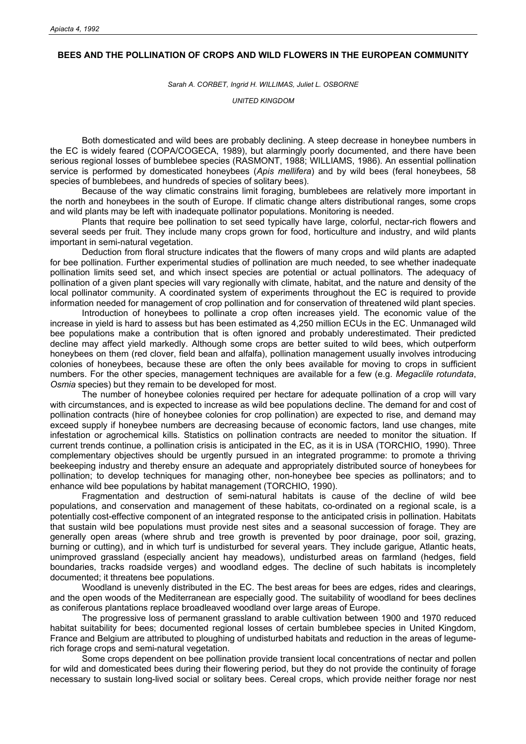## **BEES AND THE POLLINATION OF CROPS AND WILD FLOWERS IN THE EUROPEAN COMMUNITY**

*Sarah A. CORBET, Ingrid H. WILLIMAS, Juliet L. OSBORNE* 

*UNITED KINGDOM* 

Both domesticated and wild bees are probably declining. A steep decrease in honeybee numbers in the EC is widely feared (COPA/COGECA, 1989), but alarmingly poorly documented, and there have been serious regional losses of bumblebee species (RASMONT, 1988; WILLIAMS, 1986). An essential pollination service is performed by domesticated honeybees (*Apis mellifera*) and by wild bees (feral honeybees, 58 species of bumblebees, and hundreds of species of solitary bees).

Because of the way climatic constrains limit foraging, bumblebees are relatively more important in the north and honeybees in the south of Europe. If climatic change alters distributional ranges, some crops and wild plants may be left with inadequate pollinator populations. Monitoring is needed.

Plants that require bee pollination to set seed typically have large, colorful, nectar-rich flowers and several seeds per fruit. They include many crops grown for food, horticulture and industry, and wild plants important in semi-natural vegetation.

Deduction from floral structure indicates that the flowers of many crops and wild plants are adapted for bee pollination. Further experimental studies of pollination are much needed, to see whether inadequate pollination limits seed set, and which insect species are potential or actual pollinators. The adequacy of pollination of a given plant species will vary regionally with climate, habitat, and the nature and density of the local pollinator community. A coordinated system of experiments throughout the EC is required to provide information needed for management of crop pollination and for conservation of threatened wild plant species.

Introduction of honeybees to pollinate a crop often increases yield. The economic value of the increase in yield is hard to assess but has been estimated as 4,250 million ECUs in the EC. Unmanaged wild bee populations make a contribution that is often ignored and probably underestimated. Their predicted decline may affect yield markedly. Although some crops are better suited to wild bees, which outperform honeybees on them (red clover, field bean and alfalfa), pollination management usually involves introducing colonies of honeybees, because these are often the only bees available for moving to crops in sufficient numbers. For the other species, management techniques are available for a few (e.g. *Megaclile rotundata*, *Osmia* species) but they remain to be developed for most.

The number of honeybee colonies required per hectare for adequate pollination of a crop will vary with circumstances, and is expected to increase as wild bee populations decline. The demand for and cost of pollination contracts (hire of honeybee colonies for crop pollination) are expected to rise, and demand may exceed supply if honeybee numbers are decreasing because of economic factors, land use changes, mite infestation or agrochemical kills. Statistics on pollination contracts are needed to monitor the situation. If current trends continue, a pollination crisis is anticipated in the EC, as it is in USA (TORCHIO, 1990). Three complementary objectives should be urgently pursued in an integrated programme: to promote a thriving beekeeping industry and thereby ensure an adequate and appropriately distributed source of honeybees for pollination; to develop techniques for managing other, non-honeybee bee species as pollinators; and to enhance wild bee populations by habitat management (TORCHIO, 1990).

Fragmentation and destruction of semi-natural habitats is cause of the decline of wild bee populations, and conservation and management of these habitats, co-ordinated on a regional scale, is a potentially cost-effective component of an integrated response to the anticipated crisis in pollination. Habitats that sustain wild bee populations must provide nest sites and a seasonal succession of forage. They are generally open areas (where shrub and tree growth is prevented by poor drainage, poor soil, grazing, burning or cutting), and in which turf is undisturbed for several years. They include garigue, Atlantic heats, unimproved grassland (especially ancient hay meadows), undisturbed areas on farmland (hedges, field boundaries, tracks roadside verges) and woodland edges. The decline of such habitats is incompletely documented; it threatens bee populations.

Woodland is unevenly distributed in the EC. The best areas for bees are edges, rides and clearings, and the open woods of the Mediterranean are especially good. The suitability of woodland for bees declines as coniferous plantations replace broadleaved woodland over large areas of Europe.

The progressive loss of permanent grassland to arable cultivation between 1900 and 1970 reduced habitat suitability for bees; documented regional losses of certain bumblebee species in United Kingdom, France and Belgium are attributed to ploughing of undisturbed habitats and reduction in the areas of legumerich forage crops and semi-natural vegetation.

Some crops dependent on bee pollination provide transient local concentrations of nectar and pollen for wild and domesticated bees during their flowering period, but they do not provide the continuity of forage necessary to sustain long-lived social or solitary bees. Cereal crops, which provide neither forage nor nest